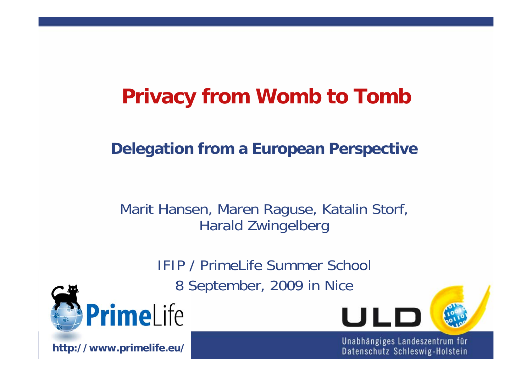# **Privacy from Womb to Tomb**

### **Delegation from a European Perspective**

### Marit Hansen, Maren Raguse, Katalin Storf, Harald Zwingelberg

IFIP / PrimeLife Summer School 8 September, 2009 in Nice



**http://www.primelife.eu/**

Unabhängiges Landeszentrum für Datenschutz Schleswig-Holstein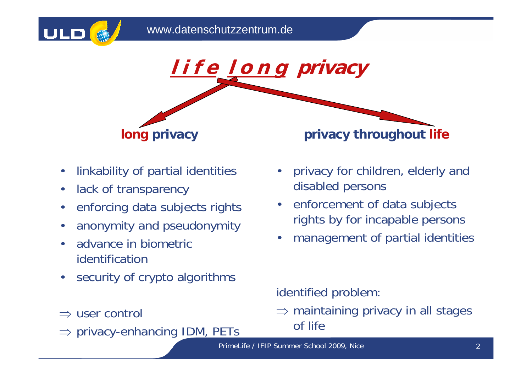



- •linkability of partial identities
- •lack of transparency
- •enforcing data subjects rights
- •anonymity and pseudonymity
- • advance in biometric identification
- $\bullet$ security of crypto algorithms
- $\Rightarrow$  user control
- ⇒ privacy-enhancing IDM, PETs
- • privacy for children, elderly and disabled persons
- enforcement of data subjects rights by for incapable persons
- •management of partial identities

identified problem:

 $\Rightarrow$  maintaining privacy in all stages of life

PrimeLife / IFIP Summer School 2009, Nice 2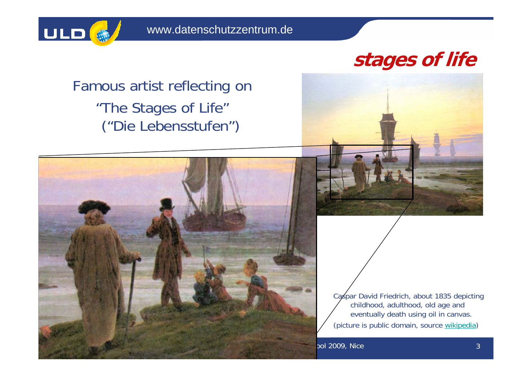

## **stages of life**

Famous artist reflecting on "The Stages of Life" ("Die Lebensstufen")



Caspar David Friedrich, about 1835 depicting childhood, adulthood, old age and eventually death using oil in canvas. (picture is public domain, source wikipedia)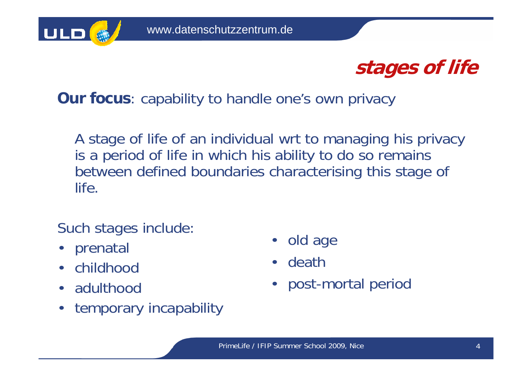



**Our focus**: capability to handle one's own privacy

A stage of life of an individual wrt to managing his privacy is a period of life in which his ability to do so remains between defined boundaries characterising this stage of life.

Such stages include:

- prenatal
- $\bullet$ childhood
- $\bullet$ adulthood
- •temporary incapability
- •old age
- •death
- •post-mortal period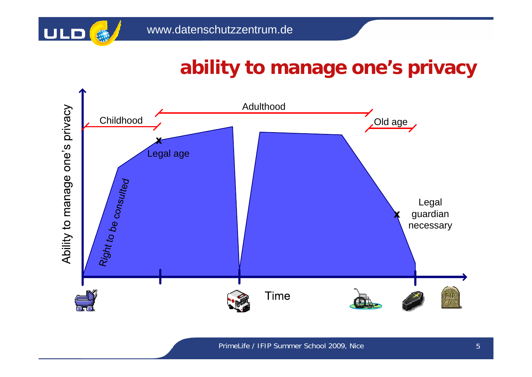

## **ability to manage one's privacy**



PrimeLife / IFIP Summer School 2009, Nice 5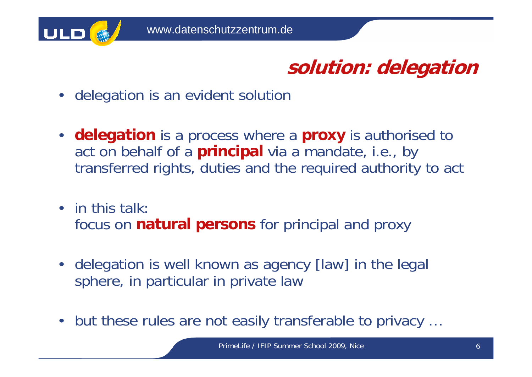

**solution: delegation**

- $\bullet$ delegation is an evident solution
- • **delegation** is a process where a **proxy** is authorised to act on behalf of a **principal** via a mandate, i.e., by transferred rights, duties and the required authority to act
- in this talk: focus on **natural persons** for principal and proxy
- • delegation is well known as agency [law] in the legal sphere, in particular in private law
- $\bullet$ but these rules are not easily transferable to privacy …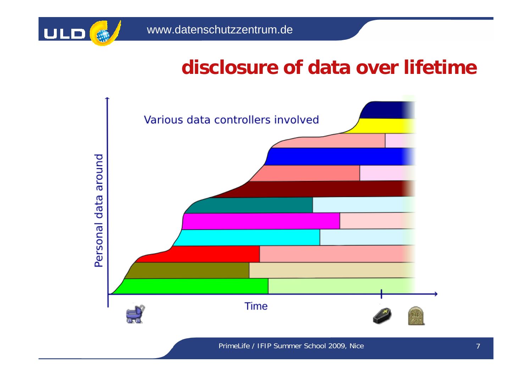

## **disclosure of data over lifetime**



PrimeLife / IFIP Summer School 2009, Nice 7 and 7 and 7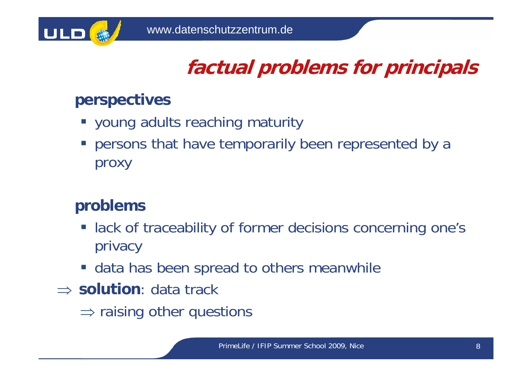

# **factual problems for principals**

### **perspectives**

- **young adults reaching maturity**
- **Persons that have temporarily been represented by a** proxy

### **problems**

- **lack of traceability of former decisions concerning one's** privacy
- **data has been spread to others meanwhile**
- ⇒ **solution**: data track
	- $\Rightarrow$  raising other questions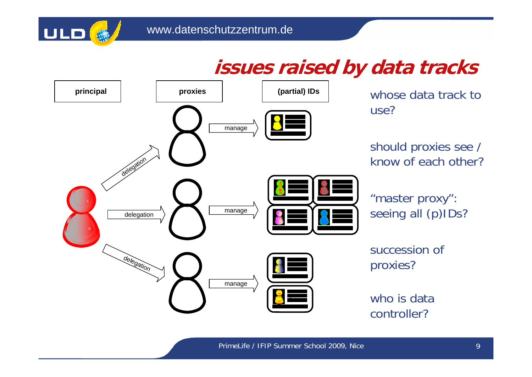

### **issues raised by data tracks**

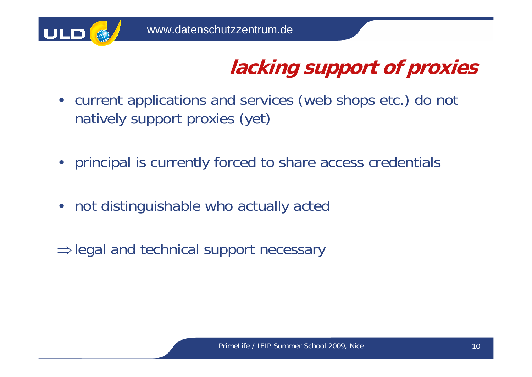

# **lacking support of proxies**

- $\bullet$  current applications and services (web shops etc.) do not natively support proxies (yet)
- •principal is currently forced to share access credentials
- •not distinguishable who actually acted
- ⇒legal and technical support necessary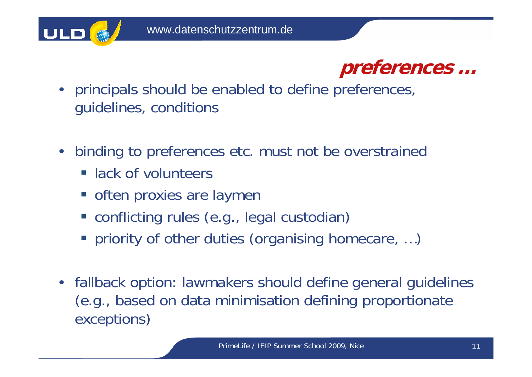



- principals should be enabled to define preferences, guidelines, conditions
- $\bullet$  binding to preferences etc. must not be overstrained
	- **Example 13 Inchefful 12**
	- **often proxies are laymen**
	- conflicting rules (e.g., legal custodian)
	- **Periority of other duties (organising homecare, ...)**
- $\bullet$  fallback option: lawmakers should define general guidelines (e.g., based on data minimisation defining proportionate exceptions)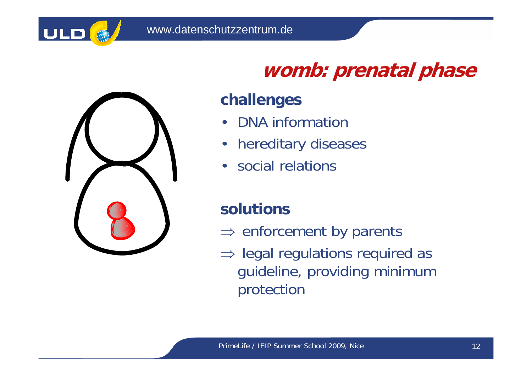



# **womb: prenatal phase**

### **challenges**

- $\bullet$ DNA information
- $\bullet$ hereditary diseases
- $\bullet$ social relations

### **solutions**

- $\Rightarrow$  enforcement by parents
- $\Rightarrow$  legal regulations required as guideline, providing minimum protection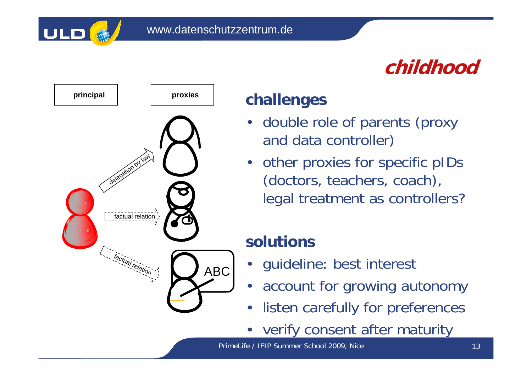

## **childhood**



#### **challenges**

- • double role of parents (proxy and data controller)
- other proxies for specific pIDs (doctors, teachers, coach), legal treatment as controllers?

### **solutions**

- •guideline: best interest
- •account for growing autonomy
- •listen carefully for preferences
- •verify consent after maturity

PrimeLife / IFIP Summer School 2009, Nice 13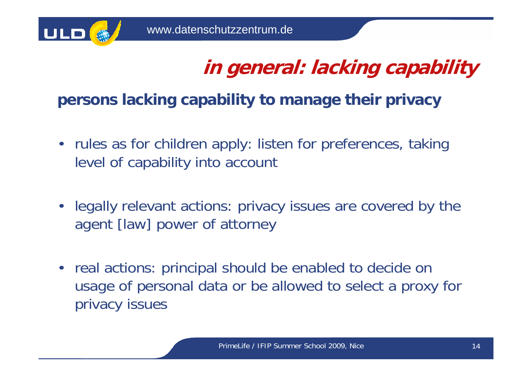

## **in general: lacking capability**

### **persons lacking capability to manage their privacy**

- rules as for children apply: listen for preferences, taking level of capability into account
- $\bullet$  legally relevant actions: privacy issues are covered by the agent [law] power of attorney
- real actions: principal should be enabled to decide on usage of personal data or be allowed to select a proxy for privacy issues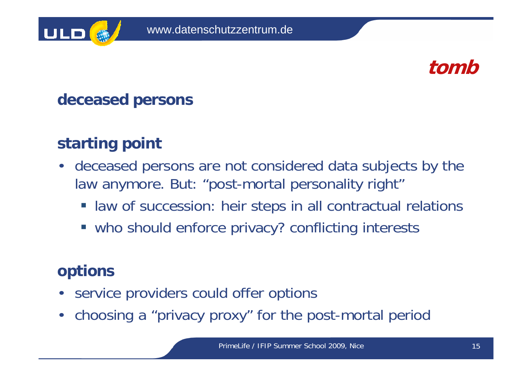



### **deceased persons**

### **starting point**

- • deceased persons are not considered data subjects by the law anymore. But: "post-mortal personality right"
	- $\mathcal{L}_{\mathcal{A}}$ law of succession: heir steps in all contractual relations
	- **who should enforce privacy? conflicting interests**

### **options**

- service providers could offer options
- choosing a "privacy proxy" for the post-mortal period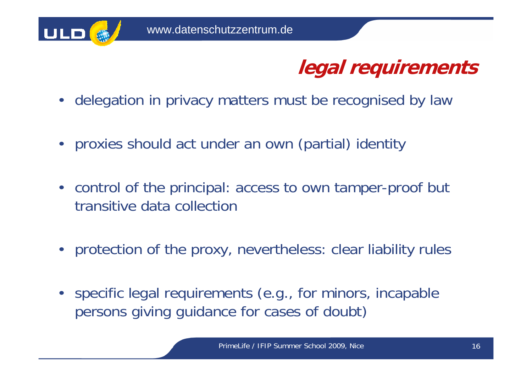

## **legal requirements**

- $\bullet$ delegation in privacy matters must be recognised by law
- proxies should act under an own (partial) identity
- control of the principal: access to own tamper-proof but transitive data collection
- protection of the proxy, nevertheless: clear liability rules
- $\bullet$  specific legal requirements (e.g., for minors, incapable persons giving guidance for cases of doubt)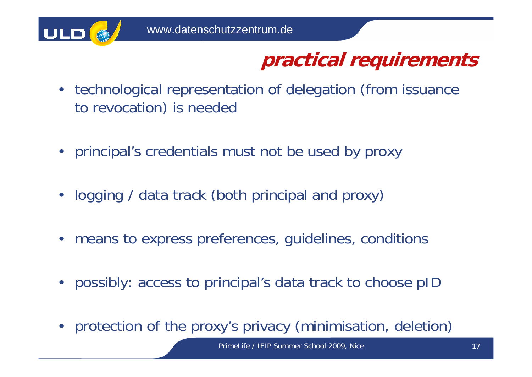

## **practical requirements**

- • technological representation of delegation (from issuance to revocation) is needed
- principal's credentials must not be used by proxy
- $\bullet$ logging / data track (both principal and proxy)
- •means to express preferences, guidelines, conditions
- •possibly: access to principal's data track to choose pID
- $\bullet$ protection of the proxy's privacy (minimisation, deletion)